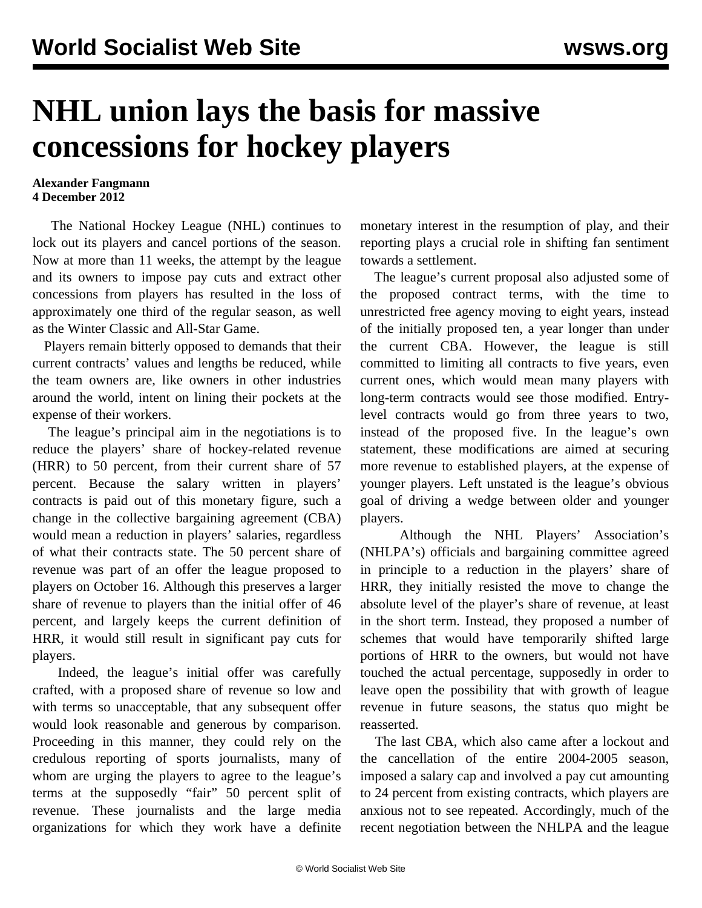## **NHL union lays the basis for massive concessions for hockey players**

## **Alexander Fangmann 4 December 2012**

 The National Hockey League (NHL) continues to lock out its players and cancel portions of the season. Now at more than 11 weeks, the attempt by the league and its owners to impose pay cuts and extract other concessions from players has resulted in the loss of approximately one third of the regular season, as well as the Winter Classic and All-Star Game.

 Players remain bitterly opposed to demands that their current contracts' values and lengths be reduced, while the team owners are, like owners in other industries around the world, intent on lining their pockets at the expense of their workers.

 The league's principal aim in the negotiations is to reduce the players' share of hockey-related revenue (HRR) to 50 percent, from their current share of 57 percent. Because the salary written in players' contracts is paid out of this monetary figure, such a change in the collective bargaining agreement (CBA) would mean a reduction in players' salaries, regardless of what their contracts state. The 50 percent share of revenue was part of an offer the league proposed to players on October 16. Although this preserves a larger share of revenue to players than the initial offer of 46 percent, and largely keeps the current definition of HRR, it would still result in significant pay cuts for players.

 Indeed, the league's initial offer was carefully crafted, with a proposed share of revenue so low and with terms so unacceptable, that any subsequent offer would look reasonable and generous by comparison. Proceeding in this manner, they could rely on the credulous reporting of sports journalists, many of whom are urging the players to agree to the league's terms at the supposedly "fair" 50 percent split of revenue. These journalists and the large media organizations for which they work have a definite

monetary interest in the resumption of play, and their reporting plays a crucial role in shifting fan sentiment towards a settlement.

 The league's current proposal also adjusted some of the proposed contract terms, with the time to unrestricted free agency moving to eight years, instead of the initially proposed ten, a year longer than under the current CBA. However, the league is still committed to limiting all contracts to five years, even current ones, which would mean many players with long-term contracts would see those modified. Entrylevel contracts would go from three years to two, instead of the proposed five. In the league's own statement, these modifications are aimed at securing more revenue to established players, at the expense of younger players. Left unstated is the league's obvious goal of driving a wedge between older and younger players.

 Although the NHL Players' Association's (NHLPA's) officials and bargaining committee agreed in principle to a reduction in the players' share of HRR, they initially resisted the move to change the absolute level of the player's share of revenue, at least in the short term. Instead, they proposed a number of schemes that would have temporarily shifted large portions of HRR to the owners, but would not have touched the actual percentage, supposedly in order to leave open the possibility that with growth of league revenue in future seasons, the status quo might be reasserted.

 The last CBA, which also came after a lockout and the cancellation of the entire 2004-2005 season, imposed a salary cap and involved a pay cut amounting to 24 percent from existing contracts, which players are anxious not to see repeated. Accordingly, much of the recent negotiation between the NHLPA and the league